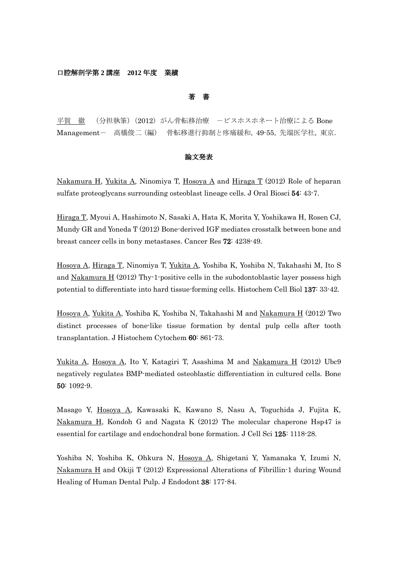## 口腔解剖学第 **2** 講座 **2012** 年度 業績

# 著 書

平賀 徹 (分担執筆)(2012)がん骨転移治療 -ビスホスホネート治療による Bone Management- 高橋俊二(編) 骨転移進行抑制と疼痛緩和,49-55,先端医学社,東京.

## 論文発表

Nakamura H, Yukita A, Ninomiya T, Hosoya A and Hiraga T (2012) Role of heparan sulfate proteoglycans surrounding osteoblast lineage cells. J Oral Biosci 54: 43-7.

Hiraga T, Myoui A, Hashimoto N, Sasaki A, Hata K, Morita Y, Yoshikawa H, Rosen CJ, Mundy GR and Yoneda T (2012) Bone-derived IGF mediates crosstalk between bone and breast cancer cells in bony metastases. Cancer Res 72: 4238-49.

Hosoya A, Hiraga T, Ninomiya T, Yukita A, Yoshiba K, Yoshiba N, Takahashi M, Ito S and Nakamura H (2012) Thy-1-positive cells in the subodontoblastic layer possess high potential to differentiate into hard tissue-forming cells. Histochem Cell Biol 137: 33-42.

Hosoya A, Yukita A, Yoshiba K, Yoshiba N, Takahashi M and Nakamura H (2012) Two distinct processes of bone-like tissue formation by dental pulp cells after tooth transplantation. J Histochem Cytochem 60: 861-73.

Yukita A, Hosoya A, Ito Y, Katagiri T, Asashima M and Nakamura H (2012) Ubc9 negatively regulates BMP-mediated osteoblastic differentiation in cultured cells. Bone 50: 1092-9.

Masago Y, Hosoya A, Kawasaki K, Kawano S, Nasu A, Toguchida J, Fujita K, Nakamura H, Kondoh G and Nagata K (2012) The molecular chaperone Hsp47 is essential for cartilage and endochondral bone formation. J Cell Sci 125: 1118-28.

Yoshiba N, Yoshiba K, Ohkura N, Hosoya A, Shigetani Y, Yamanaka Y, Izumi N, Nakamura H and Okiji T (2012) Expressional Alterations of Fibrillin-1 during Wound Healing of Human Dental Pulp. J Endodont 38: 177-84.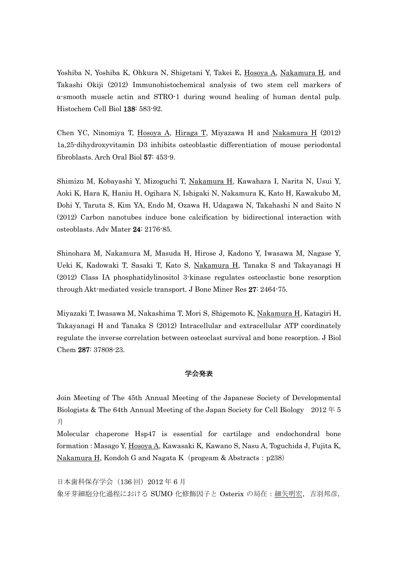Yoshiba N, Yoshiba K, Ohkura N, Shigetani Y, Takei E, Hosoya A, Nakamura H, and Takashi Okiji (2012) Immunohistochemical analysis of two stem cell markers of α-smooth muscle actin and STRO-1 during wound healing of human dental pulp. Histochem Cell Biol 138: 583-92.

Chen YC, Ninomiya T, Hosoya A, Hiraga T, Miyazawa H and Nakamura H (2012) 1a,25-dihydroxyvitamin D3 inhibits osteoblastic differentiation of mouse periodontal fibroblasts. Arch Oral Biol 57: 453-9.

Shimizu M, Kobayashi Y, Mizoguchi T, Nakamura H, Kawahara I, Narita N, Usui Y, Aoki K, Hara K, Haniu H, Ogihara N, Ishigaki N, Nakamura K, Kato H, Kawakubo M, Dohi Y, Taruta S, Kim YA, Endo M, Ozawa H, Udagawa N, Takahashi N and Saito N (2012) Carbon nanotubes induce bone calcification by bidirectional interaction with osteoblasts. Adv Mater 24: 2176-85.

Shinohara M, Nakamura M, Masuda H, Hirose J, Kadono Y, Iwasawa M, Nagase Y, Ueki K, Kadowaki T, Sasaki T, Kato S, Nakamura H, Tanaka S and Takayanagi H (2012) Class IA phosphatidylinositol 3-kinase regulates osteoclastic bone resorption through Akt-mediated vesicle transport. J Bone Miner Res 27: 2464-75.

Miyazaki T, Iwasawa M, Nakashima T, Mori S, Shigemoto K, Nakamura H, Katagiri H, Takayanagi H and Tanaka S (2012) Intracellular and extracellular ATP coordinately regulate the inverse correlation between osteoclast survival and bone resorption. J Biol Chem 287: 37808-23.

## 学会発表

Join Meeting of The 45th Annual Meeting of the Japanese Society of Developmental Biologists & The 64th Annual Meeting of the Japan Society for Cell Biology 2012 年 5 月

Molecular chaperone Hsp47 is essential for cartilage and endochondral bone formation: Masago Y, Hosoya A, Kawasaki K, Kawano S, Nasu A, Toguchida J, Fujita K, Nakamura H, Kondoh G and Nagata K (progeam & Abstracts:  $p238$ )

```
日本歯科保存学会 (136 回) 2012 年 6 月
象牙芽細胞分化過程における SUMO 化修飾因子と Osterix の局在:細矢明宏,吉羽邦彦,
```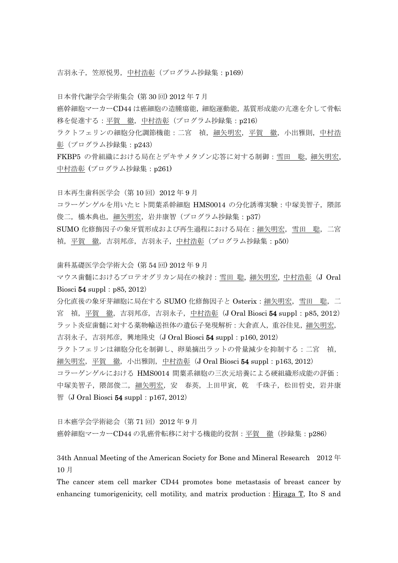吉羽永子, 笠原悦男, 中村浩彰(プログラム抄録集:p169)

日本骨代謝学会学術集会 (第 30 回) 2012 年 7 月

癌幹細胞マーカーCD44 は癌細胞の造腫瘍能,細胞運動能,基質形成能の亢進を介して骨転 移を促進する:平賀 徹,中村浩彰(プログラム抄録集:p216)

ラクトフェリンの細胞分化調節機能:二宮 禎,細矢明宏,平賀 徹,小出雅則,中村浩 彰(プログラム抄録集:p243)

FKBP5 の骨組織における局在とデキサメタゾン応答に対する制御:雪田 聡, 細矢明宏, 中村浩彰 (プログラム抄録集:p261)

日本再生歯科医学会(第 10 回)2012 年 9 月

コラーゲンゲルを用いたヒト間葉系幹細胞 HMS0014 の分化誘導実験:中塚美智子, 隈部 俊二,橋本典也,細矢明宏,岩井康智(プログラム抄録集:p37)

SUMO 化修飾因子の象牙質形成および再生過程における局在:細矢明宏,雪田 聡,二宮 禎, 平賀 徹, 吉羽邦彦, 吉羽永子, 中村浩彰(プログラム抄録集: p50)

歯科基礎医学会学術大会 (第 54 回) 2012 年 9 月

マウス歯髄におけるプロテオグリカン局在の検討:雪田 聡, 細矢明宏, 中村浩彰(J Oral Biosci  $54$  suppl: p85, 2012)

分化直後の象牙芽細胞に局在する SUMO 化修飾因子と Osterix: 細矢明宏, 雪田 聡, 二 宮 禎, 平賀 徹, 吉羽邦彦, 吉羽永子, 中村浩彰(J Oral Biosci 54 suppl: p85, 2012) ラット炎症歯髄に対する薬物輸送担体の遺伝子発現解析:大倉直人,重谷佳見,細矢明宏, 吉羽永子, 吉羽邦彦, 興地隆史 (J Oral Biosci 54 suppl: p160, 2012) ラクトフェリンは細胞分化を制御し、卵巣摘出ラットの骨量減少を抑制する:二宮 禎, 細矢明宏, 平賀 徹, 小出雅則, 中村浩彰 (J Oral Biosci 54 suppl: p163, 2012) コラーゲンゲルにおける HMS0014 間葉系細胞の三次元培養による硬組織形成能の評価: 中塚美智子,隈部俊二,細矢明宏,安 春英,上田甲寅,乾 千珠子,松田哲史,岩井康 智 $(J$  Oral Biosci 54 suppl: p167, 2012)

日本癌学会学術総会(第 71 回)2012 年 9 月 癌幹細胞マーカーCD44 の乳癌骨転移に対する機能的役割:平賀 徹 (抄録集: p286)

34th Annual Meeting of the American Society for Bone and Mineral Research 2012 年 10 月

The cancer stem cell marker CD44 promotes bone metastasis of breast cancer by enhancing tumorigenicity, cell motility, and matrix production: Hiraga T, Ito S and